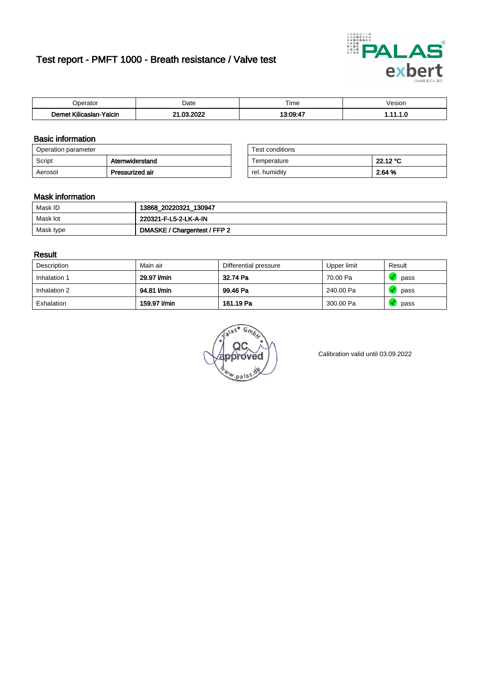# Test report - PMFT 1000 - Breath resistance / Valve test



| n<br>alu                                            | Date          | $- \cdot$<br>l ime | esion/ |
|-----------------------------------------------------|---------------|--------------------|--------|
| -<br><b>SAMP</b><br><b>Yalcin</b><br>aslan<br>KIIIC | 000<br>$\sim$ | $12.00 - 7$        | .      |

## Basic information

| Operation parameter |                 | Test conditions |          |
|---------------------|-----------------|-----------------|----------|
| Script              | Atemwiderstand  | Temperature     | 22.12 °C |
| Aerosol             | Pressurized air | rel. humiditv   | 2.64 %   |

| Test conditions |          |
|-----------------|----------|
| Temperature     | 22.12 °C |
| rel. humidity   | 2.64 %   |

#### Mask information

| Mask ID   | 13868_20220321_130947        |
|-----------|------------------------------|
| Mask lot  | 220321-F-L5-2-LK-A-IN        |
| Mask type | DMASKE / Chargentest / FFP 2 |

### Result

| Description  | Main air     | Differential pressure | Upper limit | Result |
|--------------|--------------|-----------------------|-------------|--------|
| Inhalation 1 | 29.97 I/min  | 32.74 Pa              | 70.00 Pa    | pass   |
| Inhalation 2 | 94.81 I/min  | 99.46 Pa              | 240.00 Pa   | pass   |
| Exhalation   | 159.97 l/min | 161.19 Pa             | 300.00 Pa   | pass   |

w.pala

Calibration valid until 03.09.2022